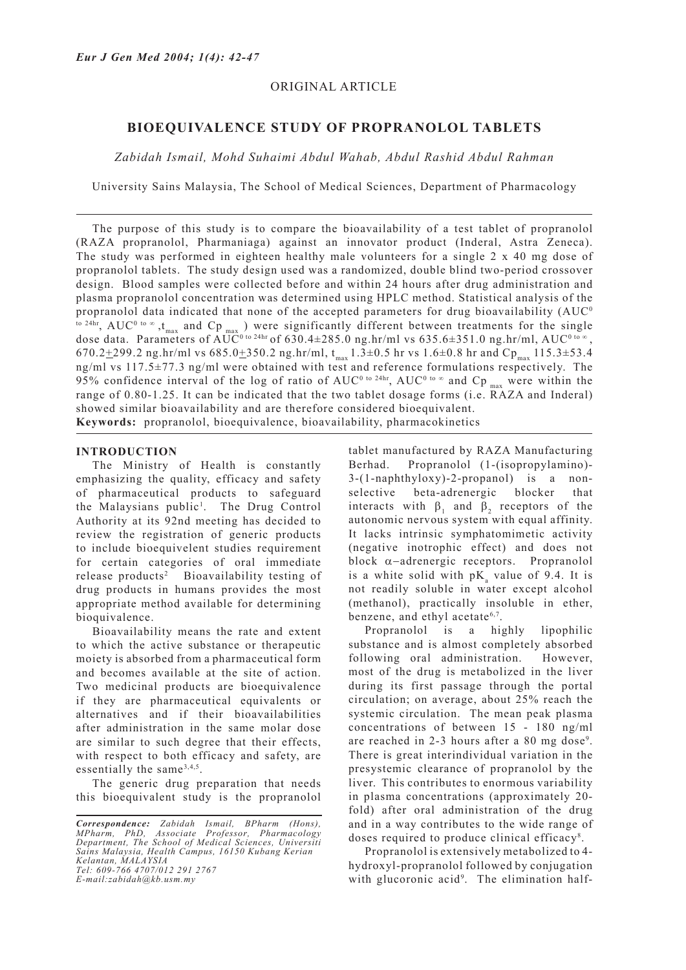# ORIGINAL ARTICLE

# **BIOEQUIVALENCE STUDY OF PROPRANOLOL TABLETS**

*Zabidah Ismail, Mohd Suhaimi Abdul Wahab, Abdul Rashid Abdul Rahman*

University Sains Malaysia, The School of Medical Sciences, Department of Pharmacology

The purpose of this study is to compare the bioavailability of a test tablet of propranolol (RAZA propranolol, Pharmaniaga) against an innovator product (Inderal, Astra Zeneca). The study was performed in eighteen healthy male volunteers for a single 2 x 40 mg dose of propranolol tablets. The study design used was a randomized, double blind two-period crossover design. Blood samples were collected before and within 24 hours after drug administration and plasma propranolol concentration was determined using HPLC method. Statistical analysis of the propranolol data indicated that none of the accepted parameters for drug bioavailability (AUC<sup>0</sup> to 24hr, AUC<sup>0 to  $\infty$ </sup>, t<sub>max</sub> and C<sub>P</sub><sub>max</sub>) were significantly different between treatments for the single dose data. Parameters of  $A\ddot{U}\ddot{C}^{0\text{ to 24hr}}$  of 630.4±285.0 ng.hr/ml vs 635.6±351.0 ng.hr/ml,  $AUC^{0\text{ to } \infty}$ , 670.2 $\pm$ 299.2 ng.hr/ml vs 685.0 $\pm$ 350.2 ng.hr/ml, t<sub>max</sub> 1.3 $\pm$ 0.5 hr vs 1.6 $\pm$ 0.8 hr and Cp<sub>max</sub> 115.3 $\pm$ 53.4 ng/ml vs 117.5±77.3 ng/ml were obtained with test and reference formulations respectively. The 95% confidence interval of the log of ratio of AUC<sup>0 to 24hr</sup>, AUC<sup>0 to ∞</sup> and Cp <sub>max</sub> were within the range of 0.80-1.25. It can be indicated that the two tablet dosage forms (i.e. RAZA and Inderal) showed similar bioavailability and are therefore considered bioequivalent. **Keywords:** propranolol, bioequivalence, bioavailability, pharmacokinetics

## **INTRODUCTION**

The Ministry of Health is constantly emphasizing the quality, efficacy and safety of pharmaceutical products to safeguard the Malaysians public<sup>1</sup>. The Drug Control Authority at its 92nd meeting has decided to review the registration of generic products to include bioequivelent studies requirement for certain categories of oral immediate release products<sup>2</sup> Bioavailability testing of drug products in humans provides the most appropriate method available for determining bioquivalence.

Bioavailability means the rate and extent to which the active substance or therapeutic moiety is absorbed from a pharmaceutical form and becomes available at the site of action. Two medicinal products are bioequivalence if they are pharmaceutical equivalents or alternatives and if their bioavailabilities after administration in the same molar dose are similar to such degree that their effects, with respect to both efficacy and safety, are essentially the same3,4,5.

The generic drug preparation that needs this bioequivalent study is the propranolol tablet manufactured by RAZA Manufacturing Berhad. Propranolol (1-(isopropylamino)- 3-(1-naphthyloxy)-2-propanol) is a nonselective beta-adrenergic blocker that interacts with  $\beta_1$  and  $\beta_2$  receptors of the autonomic nervous system with equal affinity. It lacks intrinsic symphatomimetic activity (negative inotrophic effect) and does not block α−adrenergic receptors. Propranolol is a white solid with  $pK_a$  value of 9.4. It is not readily soluble in water except alcohol (methanol), practically insoluble in ether, benzene, and ethyl acetate<sup>6,7</sup>.

Propranolol is a highly lipophilic substance and is almost completely absorbed following oral administration. However, most of the drug is metabolized in the liver during its first passage through the portal circulation; on average, about 25% reach the systemic circulation. The mean peak plasma concentrations of between 15 - 180 ng/ml are reached in 2-3 hours after a 80 mg dose<sup>9</sup>. There is great interindividual variation in the presystemic clearance of propranolol by the liver. This contributes to enormous variability in plasma concentrations (approximately 20 fold) after oral administration of the drug and in a way contributes to the wide range of doses required to produce clinical efficacy<sup>8</sup>.

Propranolol is extensively metabolized to 4 hydroxyl-propranolol followed by conjugation with glucoronic acid<sup>9</sup>. The elimination half-

*Correspondence: Zabidah Ismail, BPharm (Hons), MPharm, PhD, Associate Professor, Pharmacology Department, The School of Medical Sciences, Universiti Sains Malaysia, Health Campus, 16150 Kubang Kerian Kelantan, MALAYSIA Tel: 609-766 4707/012 291 2767 E-mail:zabidah@kb.usm.my*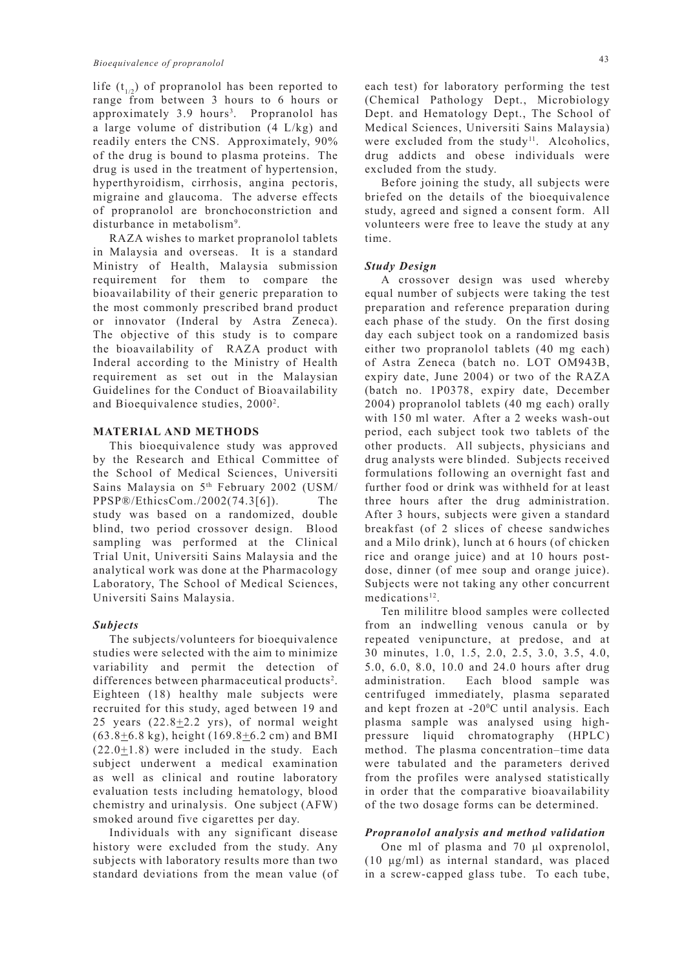life  $(t_{1/2})$  of propranolol has been reported to range from between 3 hours to 6 hours or approximately 3.9 hours<sup>3</sup>. Propranolol has a large volume of distribution (4 L/kg) and readily enters the CNS. Approximately, 90% of the drug is bound to plasma proteins. The drug is used in the treatment of hypertension, hyperthyroidism, cirrhosis, angina pectoris, migraine and glaucoma. The adverse effects of propranolol are bronchoconstriction and disturbance in metabolism<sup>9</sup>.

RAZA wishes to market propranolol tablets in Malaysia and overseas. It is a standard Ministry of Health, Malaysia submission requirement for them to compare the bioavailability of their generic preparation to the most commonly prescribed brand product or innovator (Inderal by Astra Zeneca). The objective of this study is to compare the bioavailability of RAZA product with Inderal according to the Ministry of Health requirement as set out in the Malaysian Guidelines for the Conduct of Bioavailability and Bioequivalence studies, 2000<sup>2</sup>.

#### **MATERIAL AND METHODS**

This bioequivalence study was approved by the Research and Ethical Committee of the School of Medical Sciences, Universiti Sains Malaysia on 5th February 2002 (USM/ PPSP®/EthicsCom./2002(74.3[6]). The study was based on a randomized, double blind, two period crossover design. Blood sampling was performed at the Clinical Trial Unit, Universiti Sains Malaysia and the analytical work was done at the Pharmacology Laboratory, The School of Medical Sciences, Universiti Sains Malaysia.

# *Subjects*

The subjects/volunteers for bioequivalence studies were selected with the aim to minimize variability and permit the detection of differences between pharmaceutical products<sup>2</sup>. Eighteen (18) healthy male subjects were recruited for this study, aged between 19 and 25 years  $(22.8 \pm 2.2 \text{ yrs})$ , of normal weight  $(63.8 \pm 6.8 \text{ kg})$ , height  $(169.8 \pm 6.2 \text{ cm})$  and BMI (22.0+1.8) were included in the study. Each subject underwent a medical examination as well as clinical and routine laboratory evaluation tests including hematology, blood chemistry and urinalysis. One subject (AFW) smoked around five cigarettes per day.

Individuals with any significant disease history were excluded from the study. Any subjects with laboratory results more than two standard deviations from the mean value (of each test) for laboratory performing the test (Chemical Pathology Dept., Microbiology Dept. and Hematology Dept., The School of Medical Sciences, Universiti Sains Malaysia) were excluded from the study<sup>11</sup>. Alcoholics, drug addicts and obese individuals were excluded from the study.

Before joining the study, all subjects were briefed on the details of the bioequivalence study, agreed and signed a consent form. All volunteers were free to leave the study at any time.

# *Study Design*

A crossover design was used whereby equal number of subjects were taking the test preparation and reference preparation during each phase of the study. On the first dosing day each subject took on a randomized basis either two propranolol tablets (40 mg each) of Astra Zeneca (batch no. LOT OM943B, expiry date, June 2004) or two of the RAZA (batch no. 1P0378, expiry date, December 2004) propranolol tablets (40 mg each) orally with 150 ml water. After a 2 weeks wash-out period, each subject took two tablets of the other products. All subjects, physicians and drug analysts were blinded. Subjects received formulations following an overnight fast and further food or drink was withheld for at least three hours after the drug administration. After 3 hours, subjects were given a standard breakfast (of 2 slices of cheese sandwiches and a Milo drink), lunch at 6 hours (of chicken rice and orange juice) and at 10 hours postdose, dinner (of mee soup and orange juice). Subjects were not taking any other concurrent medications<sup>12</sup>.

Ten mililitre blood samples were collected from an indwelling venous canula or by repeated venipuncture, at predose, and at 30 minutes, 1.0, 1.5, 2.0, 2.5, 3.0, 3.5, 4.0, 5.0, 6.0, 8.0, 10.0 and 24.0 hours after drug administration. Each blood sample was centrifuged immediately, plasma separated and kept frozen at -20°C until analysis. Each plasma sample was analysed using highpressure liquid chromatography (HPLC) method. The plasma concentration–time data were tabulated and the parameters derived from the profiles were analysed statistically in order that the comparative bioavailability of the two dosage forms can be determined.

## *Propranolol analysis and method validation*

One ml of plasma and 70 μl oxprenolol, (10 μg/ml) as internal standard, was placed in a screw-capped glass tube. To each tube,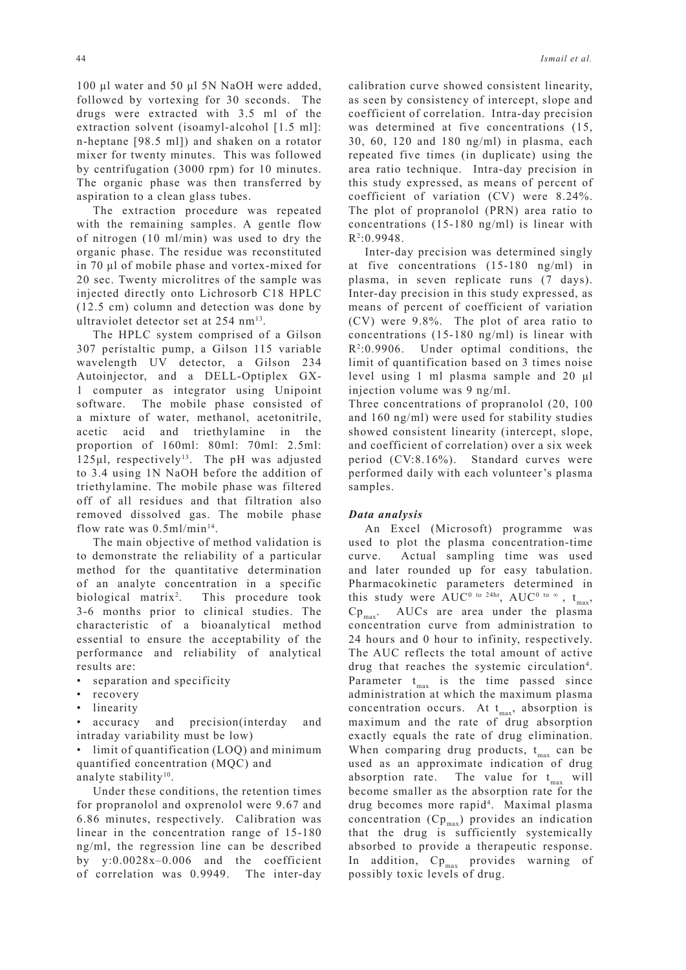100 μl water and 50 μl 5N NaOH were added, followed by vortexing for 30 seconds. The drugs were extracted with 3.5 ml of the extraction solvent (isoamyl-alcohol [1.5 ml]: n-heptane [98.5 ml]) and shaken on a rotator mixer for twenty minutes. This was followed by centrifugation (3000 rpm) for 10 minutes. The organic phase was then transferred by aspiration to a clean glass tubes.

The extraction procedure was repeated with the remaining samples. A gentle flow of nitrogen (10 ml/min) was used to dry the organic phase. The residue was reconstituted in 70 μl of mobile phase and vortex-mixed for 20 sec. Twenty microlitres of the sample was injected directly onto Lichrosorb C18 HPLC (12.5 cm) column and detection was done by ultraviolet detector set at 254 nm<sup>13</sup>.

The HPLC system comprised of a Gilson 307 peristaltic pump, a Gilson 115 variable wavelength UV detector, a Gilson 234 Autoinjector, and a DELL-Optiplex GX-1 computer as integrator using Unipoint software. The mobile phase consisted of a mixture of water, methanol, acetonitrile, acetic acid and triethylamine in the proportion of 160ml: 80ml: 70ml: 2.5ml: 125 $\mu$ l, respectively<sup>13</sup>. The pH was adjusted to 3.4 using 1N NaOH before the addition of triethylamine. The mobile phase was filtered off of all residues and that filtration also removed dissolved gas. The mobile phase flow rate was  $0.5$ ml/min<sup>14</sup>.

The main objective of method validation is to demonstrate the reliability of a particular method for the quantitative determination of an analyte concentration in a specific biological matrix<sup>2</sup>. . This procedure took 3-6 months prior to clinical studies. The characteristic of a bioanalytical method essential to ensure the acceptability of the performance and reliability of analytical results are:

- separation and specificity
- recovery
- linearity

• accuracy and precision(interday and intraday variability must be low)

• limit of quantification (LOQ) and minimum quantified concentration (MQC) and analyte stability<sup>10</sup>.

Under these conditions, the retention times for propranolol and oxprenolol were 9.67 and 6.86 minutes, respectively. Calibration was linear in the concentration range of 15-180 ng/ml, the regression line can be described by  $y:0.0028x-0.006$  and the coefficient of correlation was 0.9949. The inter-day calibration curve showed consistent linearity, as seen by consistency of intercept, slope and coefficient of correlation. Intra-day precision was determined at five concentrations (15, 30, 60, 120 and 180 ng/ml) in plasma, each repeated five times (in duplicate) using the area ratio technique. Intra-day precision in this study expressed, as means of percent of coefficient of variation (CV) were 8.24%. The plot of propranolol (PRN) area ratio to concentrations (15-180 ng/ml) is linear with  $R^2$ :0.9948.

Inter-day precision was determined singly at five concentrations (15-180 ng/ml) in plasma, in seven replicate runs (7 days). Inter-day precision in this study expressed, as means of percent of coefficient of variation (CV) were 9.8%. The plot of area ratio to concentrations (15-180 ng/ml) is linear with R<sup>2</sup> :0.9906. Under optimal conditions, the limit of quantification based on 3 times noise level using 1 ml plasma sample and 20 μl injection volume was 9 ng/ml.

Three concentrations of propranolol (20, 100 and 160 ng/ml) were used for stability studies showed consistent linearity (intercept, slope, and coefficient of correlation) over a six week period (CV:8.16%). Standard curves were performed daily with each volunteer's plasma samples.

# *Data analysis*

An Excel (Microsoft) programme was used to plot the plasma concentration-time curve. Actual sampling time was used and later rounded up for easy tabulation. Pharmacokinetic parameters determined in this study were AUC<sup>0 to 24hr</sup>, AUC<sup>0 to ∞</sup>,  $t_{max}$ , Cp<sub>max</sub>, AUCs are area under the plasma AUCs are area under the plasma concentration curve from administration to 24 hours and 0 hour to infinity, respectively. The AUC reflects the total amount of active drug that reaches the systemic circulation<sup>4</sup>. Parameter  $t_{max}$  is the time passed since administration at which the maximum plasma concentration occurs. At  $t_{max}$ , absorption is maximum and the rate of drug absorption exactly equals the rate of drug elimination. When comparing drug products,  $t_{max}$  can be used as an approximate indication of drug absorption rate. The value for  $t_{max}$  will become smaller as the absorption rate for the drug becomes more rapid4 . Maximal plasma concentration  $(Cp_{max})$  provides an indication that the drug is sufficiently systemically absorbed to provide a therapeutic response. In addition,  $Cp_{max}$  provides warning of possibly toxic levels of drug.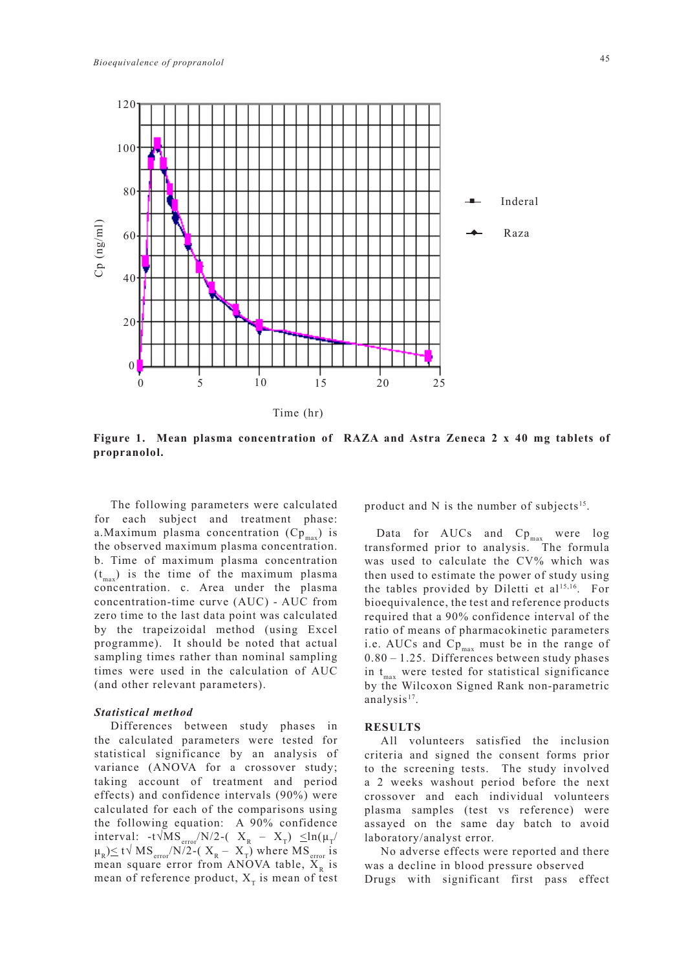

**Figure 1. Mean plasma concentration of RAZA and Astra Zeneca 2 x 40 mg tablets of propranolol.**

The following parameters were calculated for each subject and treatment phase: a. Maximum plasma concentration  $(Cp_{max})$  is the observed maximum plasma concentration. b. Time of maximum plasma concentration  $(t_{\text{max}})$  is the time of the maximum plasma concentration. c. Area under the plasma concentration-time curve (AUC) - AUC from zero time to the last data point was calculated by the trapeizoidal method (using Excel programme). It should be noted that actual sampling times rather than nominal sampling times were used in the calculation of AUC (and other relevant parameters).

# *Statistical method*

Differences between study phases in the calculated parameters were tested for statistical significance by an analysis of variance (ANOVA for a crossover study; taking account of treatment and period effects) and confidence intervals (90%) were calculated for each of the comparisons using the following equation: A 90% confidence interval: -t√MS<sub>error</sub>/N/2-(  $X_R - X_T$ )  $\leq ln(\mu_T/\mu)$  $\mu_R$ ) $\leq$  t $\sqrt{MS_{\text{error}}/N/2}$ -(X<sub>R</sub> – X<sub>T</sub>) where MS<sub>error</sub> is mean square error from ANOVA table,  $X_R$  is mean of reference product,  $X<sub>T</sub>$  is mean of test

product and N is the number of subjects<sup>15</sup>.

Data for AUCs and  $\text{Cp}_{\text{max}}$  were log transformed prior to analysis. The formula was used to calculate the CV% which was then used to estimate the power of study using the tables provided by Diletti et al<sup>15,16</sup>. For bioequivalence, the test and reference products required that a 90% confidence interval of the ratio of means of pharmacokinetic parameters i.e. AUCs and  $\mathbb{C}p_{\text{max}}$  must be in the range of 0.80 – 1.25. Differences between study phases in  $t_{max}$  were tested for statistical significance by the Wilcoxon Signed Rank non-parametric analysis<sup>17</sup>.

## **RESULTS**

All volunteers satisfied the inclusion criteria and signed the consent forms prior to the screening tests. The study involved a 2 weeks washout period before the next crossover and each individual volunteers plasma samples (test vs reference) were assayed on the same day batch to avoid laboratory/analyst error.

No adverse effects were reported and there was a decline in blood pressure observed Drugs with significant first pass effect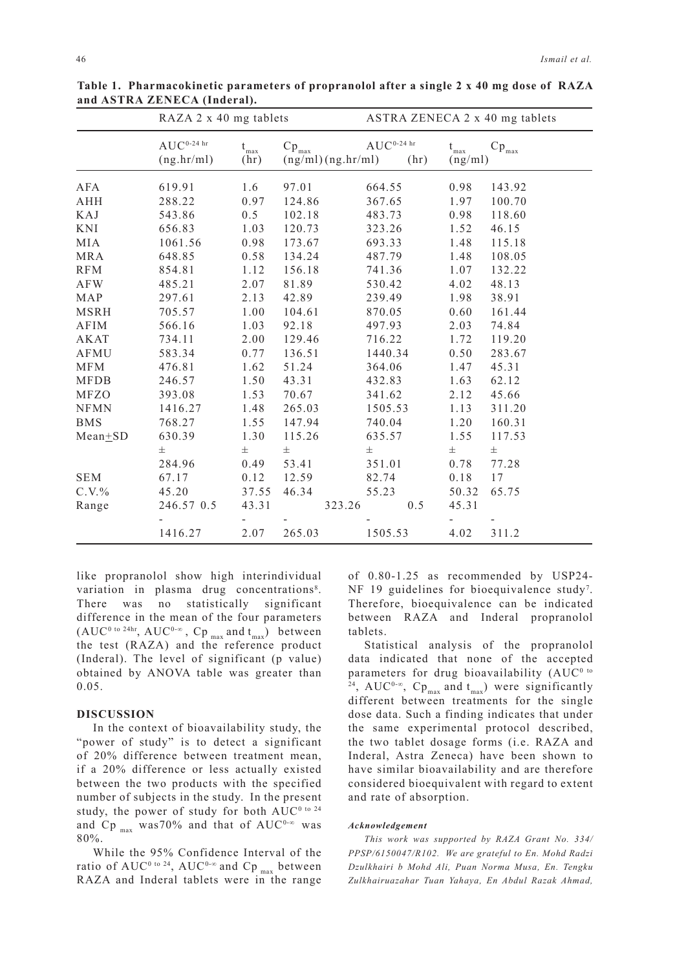|             | RAZA 2 x 40 mg tablets                |                       |                                                   | ASTRA ZENECA 2 x 40 mg tablets          |                          |                              |  |
|-------------|---------------------------------------|-----------------------|---------------------------------------------------|-----------------------------------------|--------------------------|------------------------------|--|
|             | $AUC^{0-24 \text{ hr}}$<br>(ng.hr/ml) | $t_{\rm max}$<br>(hr) | $\mathrm{Cp}_{\mathrm{max}}$<br>(ng/ml)(ng/hr/ml) | $\mathrm{AUC}^{\text{0-24 hr}}$<br>(hr) | $t_{\rm max}$<br>(ng/ml) | $\mathrm{Cp}_{\mathrm{max}}$ |  |
| <b>AFA</b>  | 619.91                                | 1.6                   | 97.01                                             | 664.55                                  | 0.98                     | 143.92                       |  |
| AHH         | 288.22                                | 0.97                  | 124.86                                            | 367.65                                  | 1.97                     | 100.70                       |  |
| KAJ         | 543.86                                | 0.5                   | 102.18                                            | 483.73                                  | 0.98                     | 118.60                       |  |
| <b>KNI</b>  | 656.83                                | 1.03                  | 120.73                                            | 323.26                                  | 1.52                     | 46.15                        |  |
| <b>MIA</b>  | 1061.56                               | 0.98                  | 173.67                                            | 693.33                                  | 1.48                     | 115.18                       |  |
| <b>MRA</b>  | 648.85                                | 0.58                  | 134.24                                            | 487.79                                  | 1.48                     | 108.05                       |  |
| <b>RFM</b>  | 854.81                                | 1.12                  | 156.18                                            | 741.36                                  | 1.07                     | 132.22                       |  |
| <b>AFW</b>  | 485.21                                | 2.07                  | 81.89                                             | 530.42                                  | 4.02                     | 48.13                        |  |
| MAP         | 297.61                                | 2.13                  | 42.89                                             | 239.49                                  | 1.98                     | 38.91                        |  |
| <b>MSRH</b> | 705.57                                | 1.00                  | 104.61                                            | 870.05                                  | 0.60                     | 161.44                       |  |
| <b>AFIM</b> | 566.16                                | 1.03                  | 92.18                                             | 497.93                                  | 2.03                     | 74.84                        |  |
| <b>AKAT</b> | 734.11                                | 2.00                  | 129.46                                            | 716.22                                  | 1.72                     | 119.20                       |  |
| <b>AFMU</b> | 583.34                                | 0.77                  | 136.51                                            | 1440.34                                 | 0.50                     | 283.67                       |  |
| <b>MFM</b>  | 476.81                                | 1.62                  | 51.24                                             | 364.06                                  | 1.47                     | 45.31                        |  |
| <b>MFDB</b> | 246.57                                | 1.50                  | 43.31                                             | 432.83                                  | 1.63                     | 62.12                        |  |
| <b>MFZO</b> | 393.08                                | 1.53                  | 70.67                                             | 341.62                                  | 2.12                     | 45.66                        |  |
| <b>NFMN</b> | 1416.27                               | 1.48                  | 265.03                                            | 1505.53                                 | 1.13                     | 311.20                       |  |
| BMS         | 768.27                                | 1.55                  | 147.94                                            | 740.04                                  | 1.20                     | 160.31                       |  |
| $Mean + SD$ | 630.39                                | 1.30                  | 115.26                                            | 635.57                                  | 1.55                     | 117.53                       |  |
|             | $\pm$                                 | $_{\pm}$              | $\pm$                                             | $_{\pm}$                                | $\pm$                    | $_{\pm}$                     |  |
|             | 284.96                                | 0.49                  | 53.41                                             | 351.01                                  | 0.78                     | 77.28                        |  |
| <b>SEM</b>  | 67.17                                 | 0.12                  | 12.59                                             | 82.74                                   | 0.18                     | 17                           |  |
| $C.V.$ %    | 45.20                                 | 37.55                 | 46.34                                             | 55.23                                   | 50.32                    | 65.75                        |  |
| Range       | 246.57 0.5                            | 43.31                 | 323.26                                            | 0.5                                     | 45.31                    |                              |  |
|             |                                       |                       |                                                   |                                         |                          |                              |  |
|             | 1416.27                               | 2.07                  | 265.03                                            | 1505.53                                 | 4.02                     | 311.2                        |  |

**Table 1. Pharmacokinetic parameters of propranolol after a single 2 x 40 mg dose of RAZA and ASTRA ZENECA (Inderal).**

like propranolol show high interindividual variation in plasma drug concentrations<sup>8</sup>. There was no statistically significant difference in the mean of the four parameters  $(AUC<sup>0 to 24hr</sup>, AUC<sup>0-∞</sup>, Cp<sub>max</sub> and t<sub>max</sub>) between$ the test (RAZA) and the reference product (Inderal). The level of significant (p value) obtained by ANOVA table was greater than 0.05.

#### **DISCUSSION**

In the context of bioavailability study, the "power of study" is to detect a significant of 20% difference between treatment mean, if a 20% difference or less actually existed between the two products with the specified number of subjects in the study. In the present study, the power of study for both  $AUC^{0}$  to 24 and Cp  $_{\text{max}}$  was70% and that of AUC<sup>0-∞</sup> was 80%.

While the 95% Confidence Interval of the ratio of AUC<sup>0 to 24</sup>, AUC<sup>0-∞</sup> and C<sub>p<sub>max</sub> between</sub> RAZA and Inderal tablets were in the range of 0.80-1.25 as recommended by USP24- NF 19 guidelines for bioequivalence study<sup>7</sup>. Therefore, bioequivalence can be indicated between RAZA and Inderal propranolol tablets.

Statistical analysis of the propranolol data indicated that none of the accepted parameters for drug bioavailability (AUC<sup>0 to</sup> <sup>24</sup>, AUC<sup>0-∞</sup>, Cp<sub>max</sub> and t<sub>max</sub>) were significantly different between treatments for the single dose data. Such a finding indicates that under the same experimental protocol described, the two tablet dosage forms (i.e. RAZA and Inderal, Astra Zeneca) have been shown to have similar bioavailability and are therefore considered bioequivalent with regard to extent and rate of absorption.

# *Acknowledgement*

*This work was supported by RAZA Grant No. 334/ PPSP/6150047/R102. We are grateful to En. Mohd Radzi Dzulkhairi b Mohd Ali, Puan Norma Musa, En. Tengku Zulkhairuazahar Tuan Yahaya, En Abdul Razak Ahmad,*